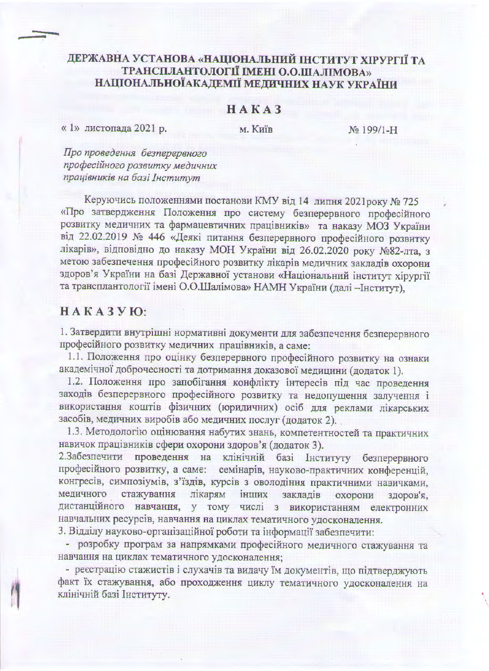## ДЕРЖАВНА УСТАНОВА «НАЦІОНАЛЬНИЙ ІНСТИТУТ ХІРУРГІЇ ТА ТРАНСПЛАНТОЛОГІЇ ІМЕНІ О.О.ШАЛІМОВА» НАЦІОНАЛЬНОЇАКАДЕМІЇ МЕДИЧНИХ НАУК УКРАЇНИ

## $H A K A 3$

« 1» листопада 2021 р.

м. Київ

No 199/1-H

Про проведення безперервного професійного розвитку медичних працівників на базі Інститут

Керуючись положеннями постанови КМУ від 14 липня 2021 року № 725 «Про затвердження Положення про систему безперервного професійного розвитку медичних та фармацевтичних працівників» та наказу МОЗ України від 22.02.2019 № 446 «Деякі питання безперервного професійного розвитку лікарів», відповідно до наказу МОН України від 26.02.2020 року №82-лта, з метою забезпечення професійного розвитку лікарів медичних закладів охорони здоров'я України на базі Державної установи «Національний інститут хірургії та трансплантології імені О.О.Шалімова» НАМН України (далі - Інститут),

## НАКАЗУЮ:

1. Затвердити внутрішні нормативні документи для забезпечення безперервного професійного розвитку медичних працівників, а саме:

1.1. Положення про оцінку безперервного професійного розвитку на ознаки академічної доброчесності та дотримання доказової медицини (додаток 1).

1.2. Положення про запобігання конфлікту інтересів під час проведення заходів безперервного професійного розвитку та недопущення залучення і використання коштів фізичних (юридичних) осіб для реклами лікарських засобів, медичних виробів або медичних послуг (додаток 2).

1.3. Методологію оцінювання набутих знань, компетентностей та практичних навичок працівників сфери охорони здоров'я (додаток 3).

2. Забезпечити проведення на клінічній базі Інституту безперервного професійного розвитку, а саме: семінарів, науково-практичних конференцій, конгресів, симпозіумів, з'їздів, курсів з оволодіння практичними навичками, медичного стажування лікарям інших закладів охорони здоров'я. дистанційного навчання, у тому числі з використанням електронних навчальних ресурсів, навчання на циклах тематичного удосконалення.

3. Відділу науково-організаційної роботи та інформації забезпечити:

- розробку програм за напрямками професійного медичного стажування та навчання на циклах тематичного удосконалення;

- реєстрацію стажистів і слухачів та видачу їм документів, що підтверджують факт їх стажування, або проходження циклу тематичного удосконалення на клінічній базі Інституту.